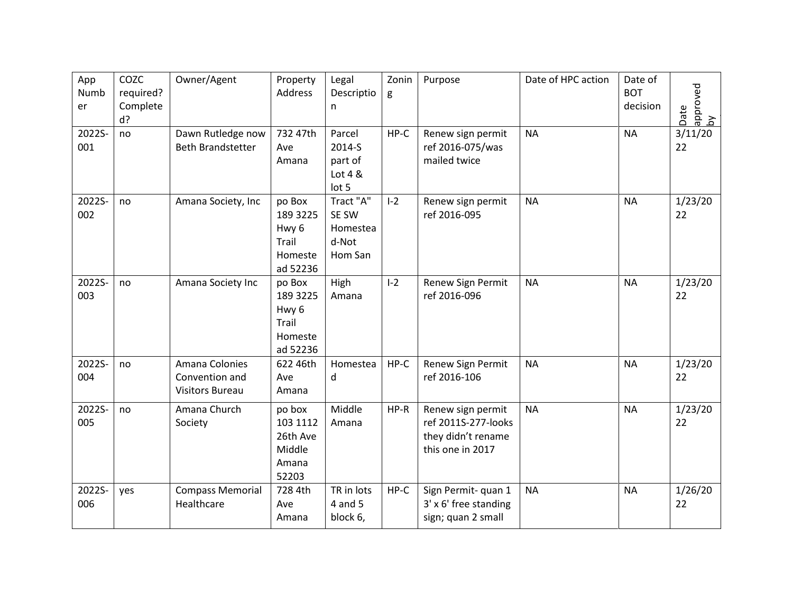| App<br>Numb<br>er | COZC<br>required?<br>Complete<br>d? | Owner/Agent                                                | Property<br>Address                                                    | Legal<br>Descriptio<br>n                           | Zonin<br>g | Purpose                                                                            | Date of HPC action | Date of<br><b>BOT</b><br>decision | approved<br>by<br>Date |
|-------------------|-------------------------------------|------------------------------------------------------------|------------------------------------------------------------------------|----------------------------------------------------|------------|------------------------------------------------------------------------------------|--------------------|-----------------------------------|------------------------|
| 2022S-<br>001     | no                                  | Dawn Rutledge now<br><b>Beth Brandstetter</b>              | 732 47th<br>Ave<br>Amana                                               | Parcel<br>2014-S<br>part of<br>Lot $4 &$<br>lot 5  | $HP-C$     | Renew sign permit<br>ref 2016-075/was<br>mailed twice                              | <b>NA</b>          | <b>NA</b>                         | 3/11/20<br>22          |
| 2022S-<br>002     | no                                  | Amana Society, Inc                                         | po Box<br>189 3225<br>Hwy <sub>6</sub><br>Trail<br>Homeste<br>ad 52236 | Tract "A"<br>SE SW<br>Homestea<br>d-Not<br>Hom San | $I-2$      | Renew sign permit<br>ref 2016-095                                                  | <b>NA</b>          | <b>NA</b>                         | 1/23/20<br>22          |
| 2022S-<br>003     | no                                  | Amana Society Inc                                          | po Box<br>189 3225<br>Hwy <sub>6</sub><br>Trail<br>Homeste<br>ad 52236 | High<br>Amana                                      | $I-2$      | Renew Sign Permit<br>ref 2016-096                                                  | <b>NA</b>          | <b>NA</b>                         | 1/23/20<br>22          |
| 2022S-<br>004     | no                                  | Amana Colonies<br>Convention and<br><b>Visitors Bureau</b> | 622 46th<br>Ave<br>Amana                                               | Homestea<br>d                                      | HP-C       | Renew Sign Permit<br>ref 2016-106                                                  | <b>NA</b>          | <b>NA</b>                         | 1/23/20<br>22          |
| 2022S-<br>005     | no                                  | Amana Church<br>Society                                    | po box<br>103 1112<br>26th Ave<br>Middle<br>Amana<br>52203             | Middle<br>Amana                                    | HP-R       | Renew sign permit<br>ref 2011S-277-looks<br>they didn't rename<br>this one in 2017 | <b>NA</b>          | <b>NA</b>                         | 1/23/20<br>22          |
| 2022S-<br>006     | yes                                 | <b>Compass Memorial</b><br>Healthcare                      | 728 4th<br>Ave<br>Amana                                                | TR in lots<br>4 and 5<br>block 6,                  | $HP-C$     | Sign Permit- quan 1<br>3' x 6' free standing<br>sign; quan 2 small                 | <b>NA</b>          | <b>NA</b>                         | 1/26/20<br>22          |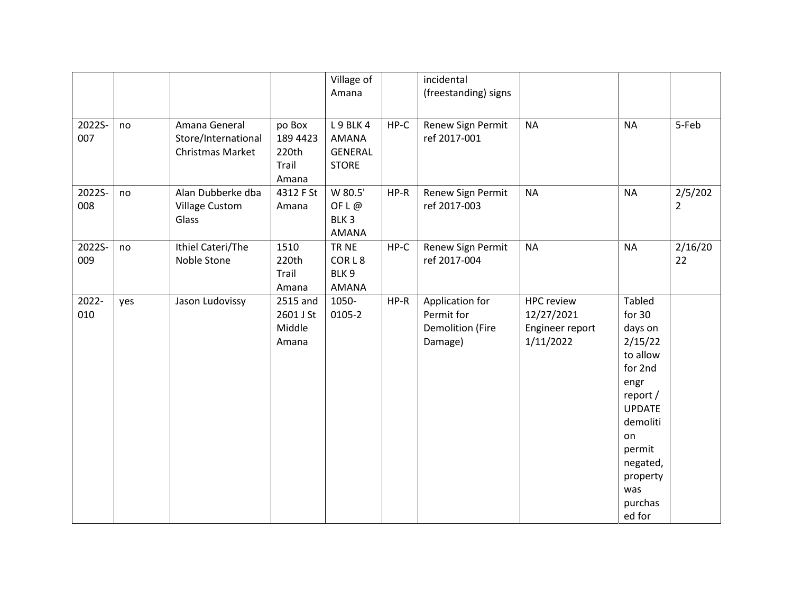|               |     |                                                          |                                               | Village of<br>Amana                                     |      | incidental<br>(freestanding) signs                                  |                                                                 |                                                                                                                                                                                    |                           |
|---------------|-----|----------------------------------------------------------|-----------------------------------------------|---------------------------------------------------------|------|---------------------------------------------------------------------|-----------------------------------------------------------------|------------------------------------------------------------------------------------------------------------------------------------------------------------------------------------|---------------------------|
| 2022S-<br>007 | no  | Amana General<br>Store/International<br>Christmas Market | po Box<br>189 4423<br>220th<br>Trail<br>Amana | L9BLK4<br>AMANA<br><b>GENERAL</b><br><b>STORE</b>       | HP-C | Renew Sign Permit<br>ref 2017-001                                   | <b>NA</b>                                                       | <b>NA</b>                                                                                                                                                                          | 5-Feb                     |
| 2022S-<br>008 | no  | Alan Dubberke dba<br><b>Village Custom</b><br>Glass      | 4312 F St<br>Amana                            | W 80.5'<br>OF $L \omega$<br>BLK <sub>3</sub><br>AMANA   | HP-R | Renew Sign Permit<br>ref 2017-003                                   | <b>NA</b>                                                       | <b>NA</b>                                                                                                                                                                          | 2/5/202<br>$\overline{2}$ |
| 2022S-<br>009 | no  | Ithiel Cateri/The<br>Noble Stone                         | 1510<br>220th<br>Trail<br>Amana               | TR NE<br>CORL <sub>8</sub><br>BLK <sub>9</sub><br>AMANA | HP-C | Renew Sign Permit<br>ref 2017-004                                   | <b>NA</b>                                                       | <b>NA</b>                                                                                                                                                                          | 2/16/20<br>22             |
| 2022-<br>010  | yes | Jason Ludovissy                                          | 2515 and<br>2601 J St<br>Middle<br>Amana      | 1050-<br>0105-2                                         | HP-R | Application for<br>Permit for<br><b>Demolition (Fire</b><br>Damage) | <b>HPC review</b><br>12/27/2021<br>Engineer report<br>1/11/2022 | Tabled<br>for 30<br>days on<br>2/15/22<br>to allow<br>for 2nd<br>engr<br>report /<br><b>UPDATE</b><br>demoliti<br>on<br>permit<br>negated,<br>property<br>was<br>purchas<br>ed for |                           |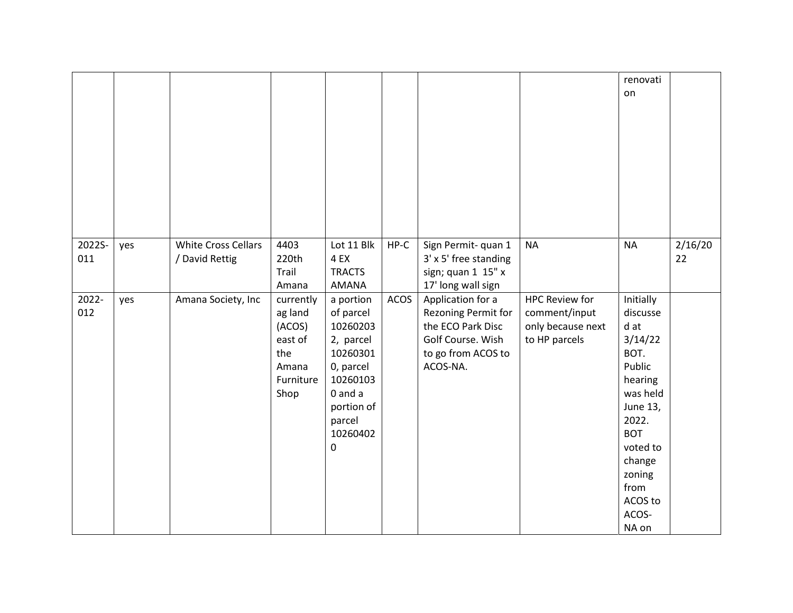|               |     |                                              |                                                                                |                                                                                                                                          |        |                                                                                                                      |                                                                              | renovati<br>on                                                                                                                                                                            |               |
|---------------|-----|----------------------------------------------|--------------------------------------------------------------------------------|------------------------------------------------------------------------------------------------------------------------------------------|--------|----------------------------------------------------------------------------------------------------------------------|------------------------------------------------------------------------------|-------------------------------------------------------------------------------------------------------------------------------------------------------------------------------------------|---------------|
| 2022S-<br>011 | yes | <b>White Cross Cellars</b><br>/ David Rettig | 4403<br>220th<br>Trail<br>Amana                                                | Lot 11 Blk<br>4 EX<br><b>TRACTS</b><br>AMANA                                                                                             | $HP-C$ | Sign Permit-quan 1<br>3' x 5' free standing<br>sign; quan 1 15" x<br>17' long wall sign                              | <b>NA</b>                                                                    | <b>NA</b>                                                                                                                                                                                 | 2/16/20<br>22 |
| 2022-<br>012  | yes | Amana Society, Inc                           | currently<br>ag land<br>(ACOS)<br>east of<br>the<br>Amana<br>Furniture<br>Shop | a portion<br>of parcel<br>10260203<br>2, parcel<br>10260301<br>0, parcel<br>10260103<br>0 and a<br>portion of<br>parcel<br>10260402<br>0 | ACOS   | Application for a<br>Rezoning Permit for<br>the ECO Park Disc<br>Golf Course. Wish<br>to go from ACOS to<br>ACOS-NA. | <b>HPC Review for</b><br>comment/input<br>only because next<br>to HP parcels | Initially<br>discusse<br>d at<br>3/14/22<br>BOT.<br>Public<br>hearing<br>was held<br>June 13,<br>2022.<br><b>BOT</b><br>voted to<br>change<br>zoning<br>from<br>ACOS to<br>ACOS-<br>NA on |               |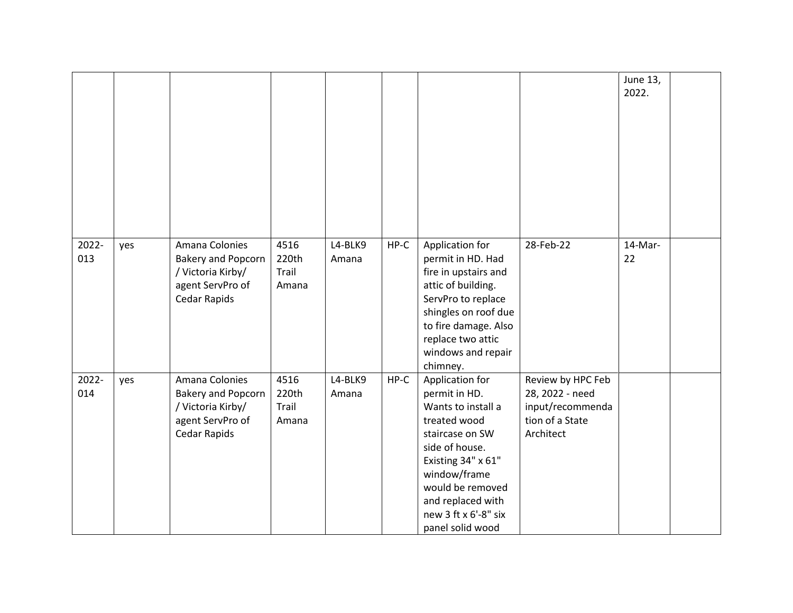|              |     |                                                                                                      |                                 |                  |        |                                                                                                                                                                                                                                        |                                                                                          | June 13,<br>2022. |  |
|--------------|-----|------------------------------------------------------------------------------------------------------|---------------------------------|------------------|--------|----------------------------------------------------------------------------------------------------------------------------------------------------------------------------------------------------------------------------------------|------------------------------------------------------------------------------------------|-------------------|--|
| 2022-<br>013 | yes | Amana Colonies<br><b>Bakery and Popcorn</b><br>/ Victoria Kirby/<br>agent ServPro of<br>Cedar Rapids | 4516<br>220th<br>Trail<br>Amana | L4-BLK9<br>Amana | $HP-C$ | Application for<br>permit in HD. Had<br>fire in upstairs and<br>attic of building.<br>ServPro to replace<br>shingles on roof due<br>to fire damage. Also<br>replace two attic<br>windows and repair<br>chimney.                        | 28-Feb-22                                                                                | 14-Mar-<br>22     |  |
| 2022-<br>014 | yes | Amana Colonies<br><b>Bakery and Popcorn</b><br>/ Victoria Kirby/<br>agent ServPro of<br>Cedar Rapids | 4516<br>220th<br>Trail<br>Amana | L4-BLK9<br>Amana | HP-C   | Application for<br>permit in HD.<br>Wants to install a<br>treated wood<br>staircase on SW<br>side of house.<br>Existing 34" x 61"<br>window/frame<br>would be removed<br>and replaced with<br>new 3 ft x 6'-8" six<br>panel solid wood | Review by HPC Feb<br>28, 2022 - need<br>input/recommenda<br>tion of a State<br>Architect |                   |  |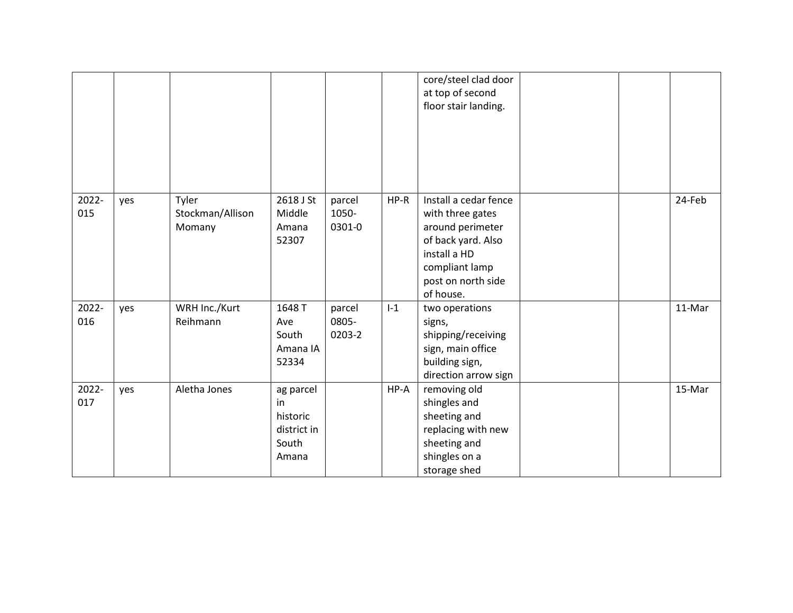|              |     |                                     |                                                              |                           |       | core/steel clad door<br>at top of second<br>floor stair landing.                                                                                         |  |        |
|--------------|-----|-------------------------------------|--------------------------------------------------------------|---------------------------|-------|----------------------------------------------------------------------------------------------------------------------------------------------------------|--|--------|
| 2022-<br>015 | yes | Tyler<br>Stockman/Allison<br>Momany | 2618 J St<br>Middle<br>Amana<br>52307                        | parcel<br>1050-<br>0301-0 | HP-R  | Install a cedar fence<br>with three gates<br>around perimeter<br>of back yard. Also<br>install a HD<br>compliant lamp<br>post on north side<br>of house. |  | 24-Feb |
| 2022-<br>016 | yes | WRH Inc./Kurt<br>Reihmann           | 1648 T<br>Ave<br>South<br>Amana IA<br>52334                  | parcel<br>0805-<br>0203-2 | $I-1$ | two operations<br>signs,<br>shipping/receiving<br>sign, main office<br>building sign,<br>direction arrow sign                                            |  | 11-Mar |
| 2022-<br>017 | yes | Aletha Jones                        | ag parcel<br>in<br>historic<br>district in<br>South<br>Amana |                           | HP-A  | removing old<br>shingles and<br>sheeting and<br>replacing with new<br>sheeting and<br>shingles on a<br>storage shed                                      |  | 15-Mar |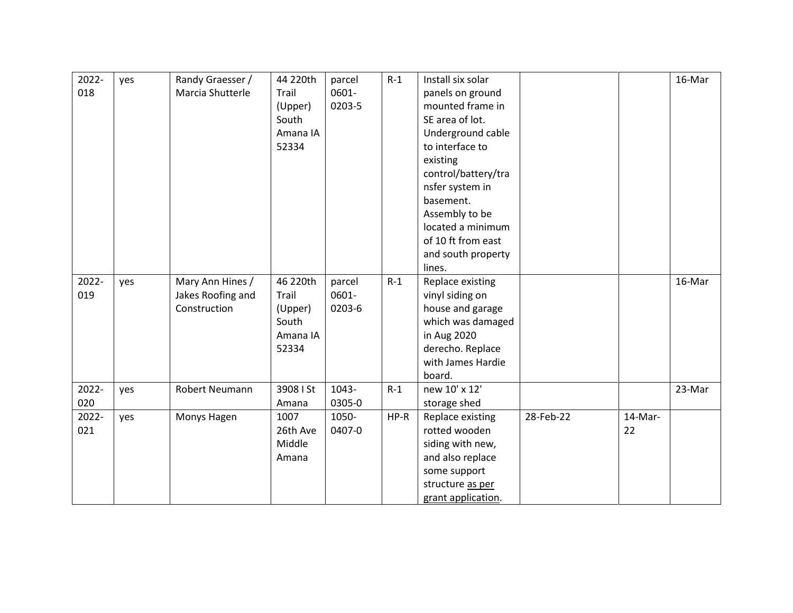| 2022-<br>018 | yes | Randy Graesser /<br>Marcia Shutterle                  | 44 220th<br>Trail<br>(Upper)<br>South<br>Amana IA<br>52334 | parcel<br>0601-<br>0203-5 | $R-1$ | Install six solar<br>panels on ground<br>mounted frame in<br>SE area of lot.<br>Underground cable<br>to interface to<br>existing<br>control/battery/tra<br>nsfer system in<br>basement.<br>Assembly to be<br>located a minimum<br>of 10 ft from east<br>and south property |           |               | 16-Mar |
|--------------|-----|-------------------------------------------------------|------------------------------------------------------------|---------------------------|-------|----------------------------------------------------------------------------------------------------------------------------------------------------------------------------------------------------------------------------------------------------------------------------|-----------|---------------|--------|
| 2022-<br>019 | yes | Mary Ann Hines /<br>Jakes Roofing and<br>Construction | 46 220th<br>Trail<br>(Upper)<br>South<br>Amana IA<br>52334 | parcel<br>0601-<br>0203-6 | $R-1$ | lines.<br>Replace existing<br>vinyl siding on<br>house and garage<br>which was damaged<br>in Aug 2020<br>derecho. Replace<br>with James Hardie<br>board.                                                                                                                   |           |               | 16-Mar |
| 2022-<br>020 | yes | Robert Neumann                                        | 3908   St<br>Amana                                         | 1043-<br>0305-0           | $R-1$ | new 10' x 12'<br>storage shed                                                                                                                                                                                                                                              |           |               | 23-Mar |
| 2022-<br>021 | yes | Monys Hagen                                           | 1007<br>26th Ave<br>Middle<br>Amana                        | 1050-<br>0407-0           | HP-R  | Replace existing<br>rotted wooden<br>siding with new,<br>and also replace<br>some support<br>structure as per<br>grant application.                                                                                                                                        | 28-Feb-22 | 14-Mar-<br>22 |        |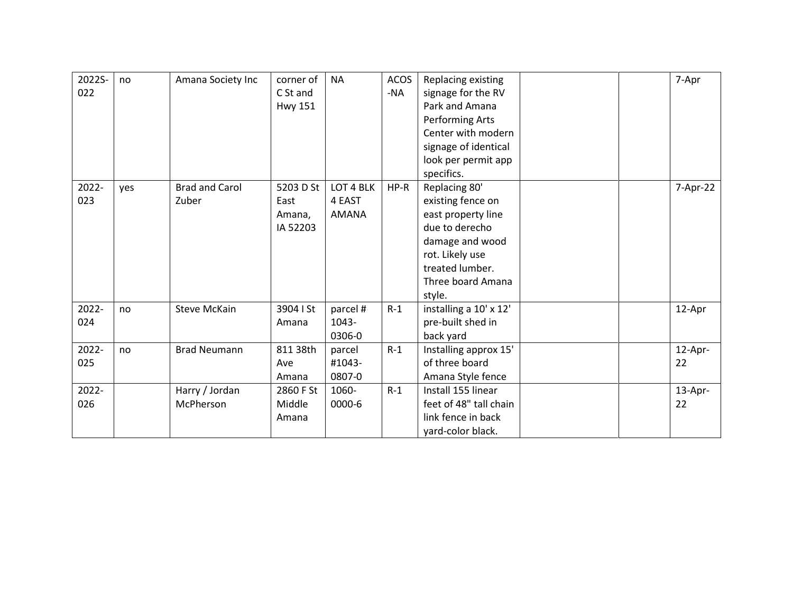| 2022S-<br>022 | no  | Amana Society Inc              | corner of<br>C St and<br><b>Hwy 151</b> | <b>NA</b>                    | <b>ACOS</b><br>-NA | Replacing existing<br>signage for the RV<br>Park and Amana<br>Performing Arts<br>Center with modern<br>signage of identical<br>look per permit app<br>specifics.   | 7-Apr         |
|---------------|-----|--------------------------------|-----------------------------------------|------------------------------|--------------------|--------------------------------------------------------------------------------------------------------------------------------------------------------------------|---------------|
| 2022-<br>023  | yes | <b>Brad and Carol</b><br>Zuber | 5203 D St<br>East<br>Amana,<br>IA 52203 | LOT 4 BLK<br>4 EAST<br>AMANA | $HP-R$             | Replacing 80'<br>existing fence on<br>east property line<br>due to derecho<br>damage and wood<br>rot. Likely use<br>treated lumber.<br>Three board Amana<br>style. | 7-Apr-22      |
| 2022-<br>024  | no  | <b>Steve McKain</b>            | 3904 I St<br>Amana                      | parcel #<br>1043-<br>0306-0  | $R-1$              | installing a 10' x 12'<br>pre-built shed in<br>back yard                                                                                                           | 12-Apr        |
| 2022-<br>025  | no  | <b>Brad Neumann</b>            | 811 38th<br>Ave<br>Amana                | parcel<br>#1043-<br>0807-0   | $R-1$              | Installing approx 15'<br>of three board<br>Amana Style fence                                                                                                       | 12-Apr-<br>22 |
| 2022-<br>026  |     | Harry / Jordan<br>McPherson    | 2860 F St<br>Middle<br>Amana            | 1060-<br>0000-6              | $R-1$              | Install 155 linear<br>feet of 48" tall chain<br>link fence in back<br>yard-color black.                                                                            | 13-Apr-<br>22 |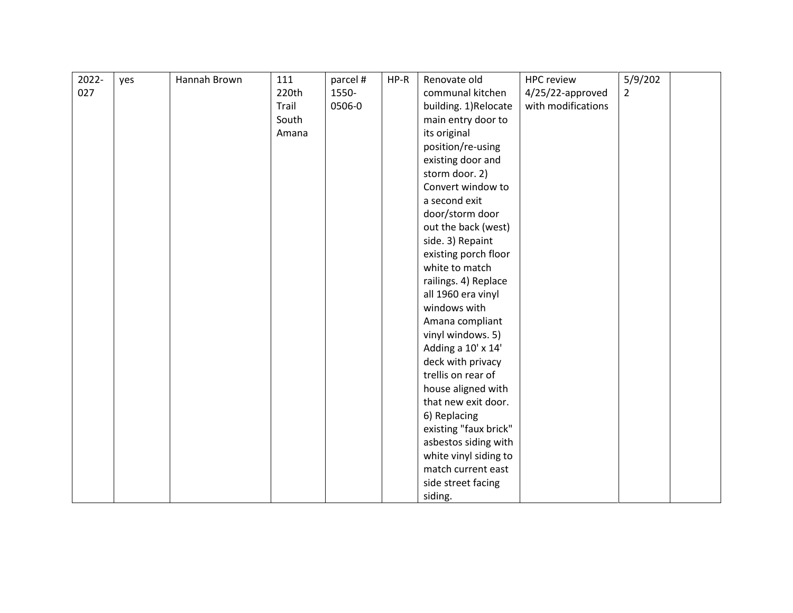| 2022- | yes | Hannah Brown | 111   | parcel # | HP-R | Renovate old          | <b>HPC review</b>  | 5/9/202        |  |
|-------|-----|--------------|-------|----------|------|-----------------------|--------------------|----------------|--|
| 027   |     |              | 220th | 1550-    |      | communal kitchen      | 4/25/22-approved   | $\overline{2}$ |  |
|       |     |              | Trail | 0506-0   |      | building. 1)Relocate  | with modifications |                |  |
|       |     |              | South |          |      | main entry door to    |                    |                |  |
|       |     |              | Amana |          |      | its original          |                    |                |  |
|       |     |              |       |          |      | position/re-using     |                    |                |  |
|       |     |              |       |          |      | existing door and     |                    |                |  |
|       |     |              |       |          |      | storm door. 2)        |                    |                |  |
|       |     |              |       |          |      | Convert window to     |                    |                |  |
|       |     |              |       |          |      | a second exit         |                    |                |  |
|       |     |              |       |          |      | door/storm door       |                    |                |  |
|       |     |              |       |          |      | out the back (west)   |                    |                |  |
|       |     |              |       |          |      | side. 3) Repaint      |                    |                |  |
|       |     |              |       |          |      | existing porch floor  |                    |                |  |
|       |     |              |       |          |      | white to match        |                    |                |  |
|       |     |              |       |          |      | railings. 4) Replace  |                    |                |  |
|       |     |              |       |          |      | all 1960 era vinyl    |                    |                |  |
|       |     |              |       |          |      | windows with          |                    |                |  |
|       |     |              |       |          |      | Amana compliant       |                    |                |  |
|       |     |              |       |          |      | vinyl windows. 5)     |                    |                |  |
|       |     |              |       |          |      | Adding a 10' x 14'    |                    |                |  |
|       |     |              |       |          |      | deck with privacy     |                    |                |  |
|       |     |              |       |          |      | trellis on rear of    |                    |                |  |
|       |     |              |       |          |      | house aligned with    |                    |                |  |
|       |     |              |       |          |      | that new exit door.   |                    |                |  |
|       |     |              |       |          |      | 6) Replacing          |                    |                |  |
|       |     |              |       |          |      | existing "faux brick" |                    |                |  |
|       |     |              |       |          |      | asbestos siding with  |                    |                |  |
|       |     |              |       |          |      | white vinyl siding to |                    |                |  |
|       |     |              |       |          |      | match current east    |                    |                |  |
|       |     |              |       |          |      | side street facing    |                    |                |  |
|       |     |              |       |          |      | siding.               |                    |                |  |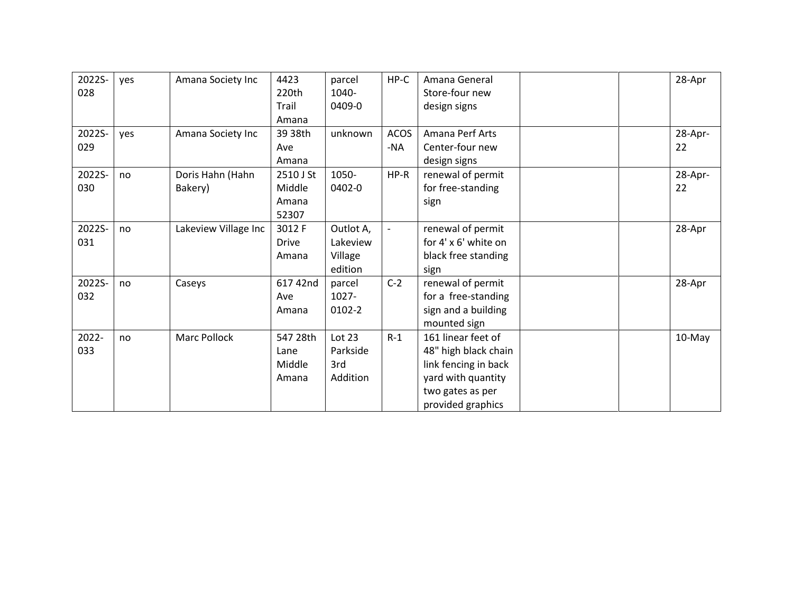| 2022S- | yes | Amana Society Inc    | 4423         | parcel    | HP-C        | Amana General        | 28-Apr  |
|--------|-----|----------------------|--------------|-----------|-------------|----------------------|---------|
| 028    |     |                      | 220th        | 1040-     |             | Store-four new       |         |
|        |     |                      | Trail        | 0409-0    |             | design signs         |         |
|        |     |                      | Amana        |           |             |                      |         |
| 2022S- | yes | Amana Society Inc    | 39 38th      | unknown   | <b>ACOS</b> | Amana Perf Arts      | 28-Apr- |
| 029    |     |                      | Ave          |           | -NA         | Center-four new      | 22      |
|        |     |                      | Amana        |           |             | design signs         |         |
| 2022S- | no  | Doris Hahn (Hahn     | 2510 J St    | 1050-     | HP-R        | renewal of permit    | 28-Apr- |
| 030    |     | Bakery)              | Middle       | 0402-0    |             | for free-standing    | 22      |
|        |     |                      | Amana        |           |             | sign                 |         |
|        |     |                      | 52307        |           |             |                      |         |
| 2022S- | no  | Lakeview Village Inc | 3012 F       | Outlot A, |             | renewal of permit    | 28-Apr  |
| 031    |     |                      | <b>Drive</b> | Lakeview  |             | for 4' x 6' white on |         |
|        |     |                      | Amana        | Village   |             | black free standing  |         |
|        |     |                      |              | edition   |             | sign                 |         |
| 2022S- | no  | Caseys               | 617 42nd     | parcel    | $C-2$       | renewal of permit    | 28-Apr  |
| 032    |     |                      | Ave          | 1027-     |             | for a free-standing  |         |
|        |     |                      | Amana        | 0102-2    |             | sign and a building  |         |
|        |     |                      |              |           |             | mounted sign         |         |
| 2022-  | no  | <b>Marc Pollock</b>  | 547 28th     | Lot 23    | $R-1$       | 161 linear feet of   | 10-May  |
| 033    |     |                      | Lane         | Parkside  |             | 48" high black chain |         |
|        |     |                      | Middle       | 3rd       |             | link fencing in back |         |
|        |     |                      | Amana        | Addition  |             | yard with quantity   |         |
|        |     |                      |              |           |             | two gates as per     |         |
|        |     |                      |              |           |             | provided graphics    |         |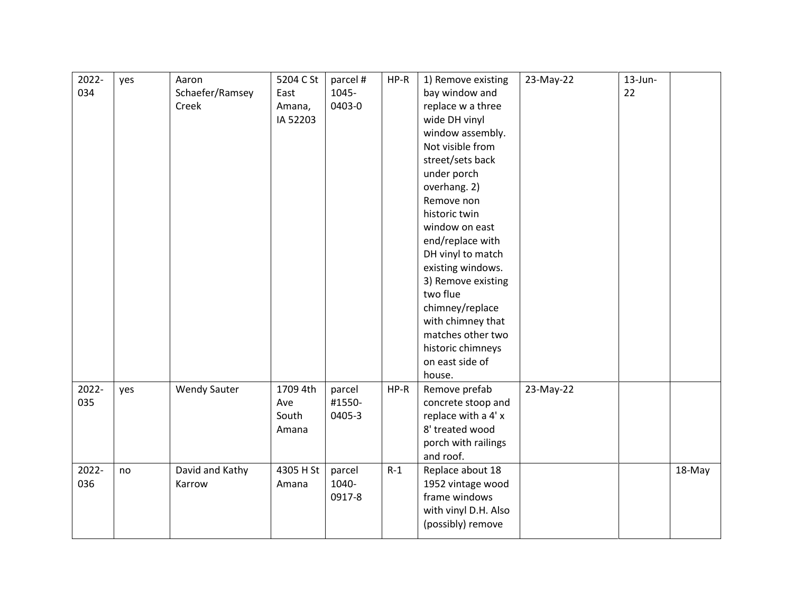| 2022- | yes | Aaron               | 5204 C St | parcel # | HP-R  | 1) Remove existing   | 23-May-22 | $13$ -Jun- |        |
|-------|-----|---------------------|-----------|----------|-------|----------------------|-----------|------------|--------|
| 034   |     | Schaefer/Ramsey     | East      | 1045-    |       | bay window and       |           | 22         |        |
|       |     | Creek               | Amana,    | 0403-0   |       | replace w a three    |           |            |        |
|       |     |                     | IA 52203  |          |       | wide DH vinyl        |           |            |        |
|       |     |                     |           |          |       | window assembly.     |           |            |        |
|       |     |                     |           |          |       | Not visible from     |           |            |        |
|       |     |                     |           |          |       | street/sets back     |           |            |        |
|       |     |                     |           |          |       | under porch          |           |            |        |
|       |     |                     |           |          |       | overhang. 2)         |           |            |        |
|       |     |                     |           |          |       | Remove non           |           |            |        |
|       |     |                     |           |          |       | historic twin        |           |            |        |
|       |     |                     |           |          |       | window on east       |           |            |        |
|       |     |                     |           |          |       | end/replace with     |           |            |        |
|       |     |                     |           |          |       | DH vinyl to match    |           |            |        |
|       |     |                     |           |          |       | existing windows.    |           |            |        |
|       |     |                     |           |          |       | 3) Remove existing   |           |            |        |
|       |     |                     |           |          |       | two flue             |           |            |        |
|       |     |                     |           |          |       | chimney/replace      |           |            |        |
|       |     |                     |           |          |       | with chimney that    |           |            |        |
|       |     |                     |           |          |       | matches other two    |           |            |        |
|       |     |                     |           |          |       | historic chimneys    |           |            |        |
|       |     |                     |           |          |       | on east side of      |           |            |        |
|       |     |                     |           |          |       | house.               |           |            |        |
| 2022- | yes | <b>Wendy Sauter</b> | 1709 4th  | parcel   | HP-R  | Remove prefab        | 23-May-22 |            |        |
| 035   |     |                     | Ave       | #1550-   |       | concrete stoop and   |           |            |        |
|       |     |                     | South     | 0405-3   |       | replace with a 4' x  |           |            |        |
|       |     |                     | Amana     |          |       | 8' treated wood      |           |            |        |
|       |     |                     |           |          |       | porch with railings  |           |            |        |
|       |     |                     |           |          |       | and roof.            |           |            |        |
| 2022- | no  | David and Kathy     | 4305 H St | parcel   | $R-1$ | Replace about 18     |           |            | 18-May |
| 036   |     | Karrow              | Amana     | 1040-    |       | 1952 vintage wood    |           |            |        |
|       |     |                     |           | 0917-8   |       | frame windows        |           |            |        |
|       |     |                     |           |          |       | with vinyl D.H. Also |           |            |        |
|       |     |                     |           |          |       | (possibly) remove    |           |            |        |
|       |     |                     |           |          |       |                      |           |            |        |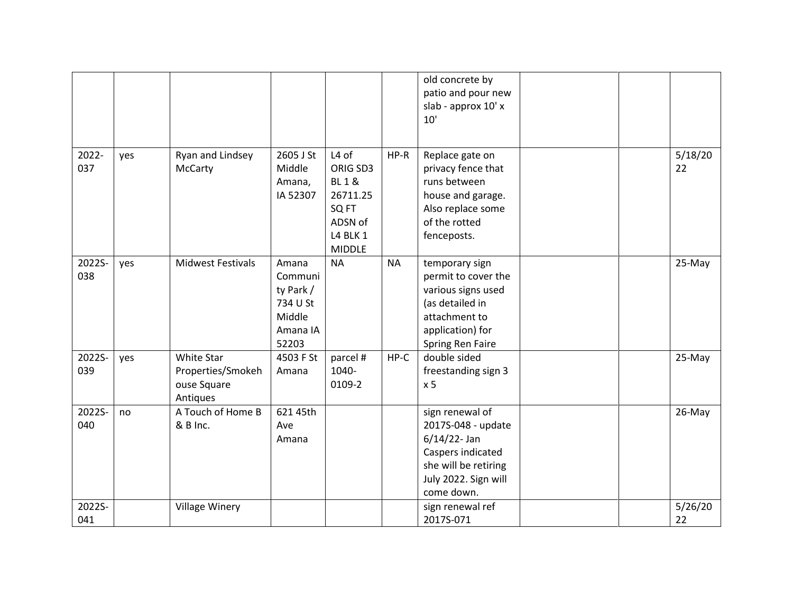|               |     |                                                            |                                                                          |                                                                                                          |           | old concrete by<br>patio and pour new<br>slab - approx 10' x<br>10'                                                                         |               |  |
|---------------|-----|------------------------------------------------------------|--------------------------------------------------------------------------|----------------------------------------------------------------------------------------------------------|-----------|---------------------------------------------------------------------------------------------------------------------------------------------|---------------|--|
| 2022-<br>037  | yes | Ryan and Lindsey<br>McCarty                                | 2605 J St<br>Middle<br>Amana,<br>IA 52307                                | L4 of<br>ORIG SD3<br><b>BL1&amp;</b><br>26711.25<br>SQ FT<br>ADSN of<br><b>L4 BLK 1</b><br><b>MIDDLE</b> | $HP-R$    | Replace gate on<br>privacy fence that<br>runs between<br>house and garage.<br>Also replace some<br>of the rotted<br>fenceposts.             | 5/18/20<br>22 |  |
| 2022S-<br>038 | yes | <b>Midwest Festivals</b>                                   | Amana<br>Communi<br>ty Park /<br>734 U St<br>Middle<br>Amana IA<br>52203 | <b>NA</b>                                                                                                | <b>NA</b> | temporary sign<br>permit to cover the<br>various signs used<br>(as detailed in<br>attachment to<br>application) for<br>Spring Ren Faire     | 25-May        |  |
| 2022S-<br>039 | yes | White Star<br>Properties/Smokeh<br>ouse Square<br>Antiques | 4503 F St<br>Amana                                                       | parcel #<br>1040-<br>0109-2                                                                              | $HP-C$    | double sided<br>freestanding sign 3<br>x <sub>5</sub>                                                                                       | 25-May        |  |
| 2022S-<br>040 | no  | A Touch of Home B<br>& B Inc.                              | 621 45th<br>Ave<br>Amana                                                 |                                                                                                          |           | sign renewal of<br>2017S-048 - update<br>$6/14/22$ - Jan<br>Caspers indicated<br>she will be retiring<br>July 2022. Sign will<br>come down. | 26-May        |  |
| 2022S-<br>041 |     | <b>Village Winery</b>                                      |                                                                          |                                                                                                          |           | sign renewal ref<br>2017S-071                                                                                                               | 5/26/20<br>22 |  |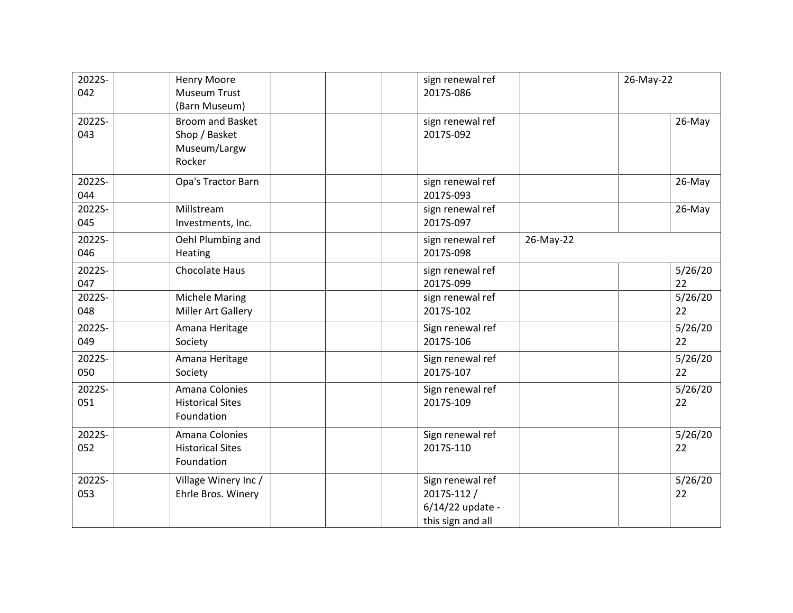| 2022S-<br>042 | <b>Henry Moore</b><br><b>Museum Trust</b><br>(Barn Museum)         | sign renewal ref<br>2017S-086                                            |           | 26-May-22     |
|---------------|--------------------------------------------------------------------|--------------------------------------------------------------------------|-----------|---------------|
| 2022S-<br>043 | <b>Broom and Basket</b><br>Shop / Basket<br>Museum/Largw<br>Rocker | sign renewal ref<br>2017S-092                                            |           | 26-May        |
| 2022S-<br>044 | Opa's Tractor Barn                                                 | sign renewal ref<br>2017S-093                                            |           | 26-May        |
| 2022S-<br>045 | Millstream<br>Investments, Inc.                                    | sign renewal ref<br>2017S-097                                            |           | 26-May        |
| 2022S-<br>046 | Oehl Plumbing and<br>Heating                                       | sign renewal ref<br>2017S-098                                            | 26-May-22 |               |
| 2022S-<br>047 | <b>Chocolate Haus</b>                                              | sign renewal ref<br>2017S-099                                            |           | 5/26/20<br>22 |
| 2022S-<br>048 | <b>Michele Maring</b><br>Miller Art Gallery                        | sign renewal ref<br>2017S-102                                            |           | 5/26/20<br>22 |
| 2022S-<br>049 | Amana Heritage<br>Society                                          | Sign renewal ref<br>2017S-106                                            |           | 5/26/20<br>22 |
| 2022S-<br>050 | Amana Heritage<br>Society                                          | Sign renewal ref<br>2017S-107                                            |           | 5/26/20<br>22 |
| 2022S-<br>051 | Amana Colonies<br><b>Historical Sites</b><br>Foundation            | Sign renewal ref<br>2017S-109                                            |           | 5/26/20<br>22 |
| 2022S-<br>052 | Amana Colonies<br><b>Historical Sites</b><br>Foundation            | Sign renewal ref<br>2017S-110                                            |           | 5/26/20<br>22 |
| 2022S-<br>053 | Village Winery Inc /<br>Ehrle Bros. Winery                         | Sign renewal ref<br>2017S-112 /<br>6/14/22 update -<br>this sign and all |           | 5/26/20<br>22 |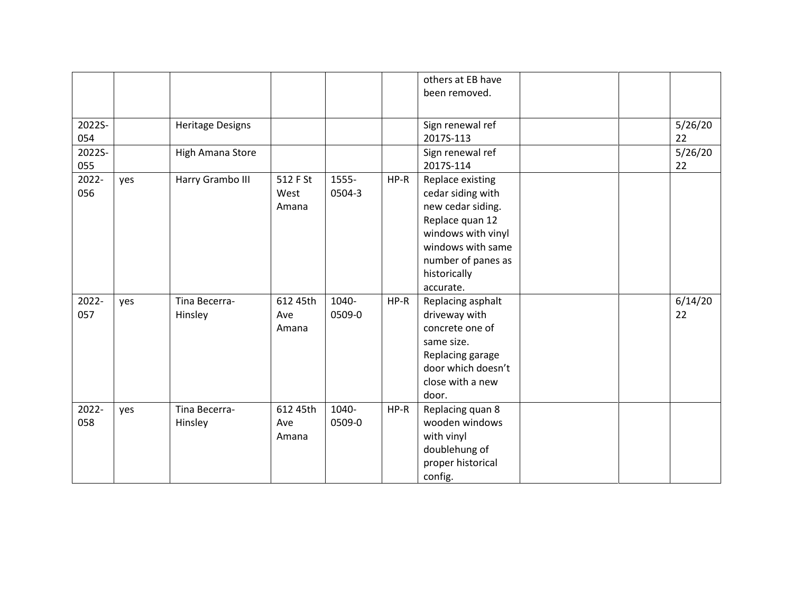|               |     |                          |                           |                 |        | others at EB have<br>been removed.                                                                                                                                          |  |               |
|---------------|-----|--------------------------|---------------------------|-----------------|--------|-----------------------------------------------------------------------------------------------------------------------------------------------------------------------------|--|---------------|
| 2022S-<br>054 |     | <b>Heritage Designs</b>  |                           |                 |        | Sign renewal ref<br>2017S-113                                                                                                                                               |  | 5/26/20<br>22 |
| 2022S-<br>055 |     | High Amana Store         |                           |                 |        | Sign renewal ref<br>2017S-114                                                                                                                                               |  | 5/26/20<br>22 |
| 2022-<br>056  | yes | Harry Grambo III         | 512 F St<br>West<br>Amana | 1555-<br>0504-3 | $HP-R$ | Replace existing<br>cedar siding with<br>new cedar siding.<br>Replace quan 12<br>windows with vinyl<br>windows with same<br>number of panes as<br>historically<br>accurate. |  |               |
| 2022-<br>057  | yes | Tina Becerra-<br>Hinsley | 612 45th<br>Ave<br>Amana  | 1040-<br>0509-0 | HP-R   | Replacing asphalt<br>driveway with<br>concrete one of<br>same size.<br>Replacing garage<br>door which doesn't<br>close with a new<br>door.                                  |  | 6/14/20<br>22 |
| 2022-<br>058  | yes | Tina Becerra-<br>Hinsley | 612 45th<br>Ave<br>Amana  | 1040-<br>0509-0 | HP-R   | Replacing quan 8<br>wooden windows<br>with vinyl<br>doublehung of<br>proper historical<br>config.                                                                           |  |               |